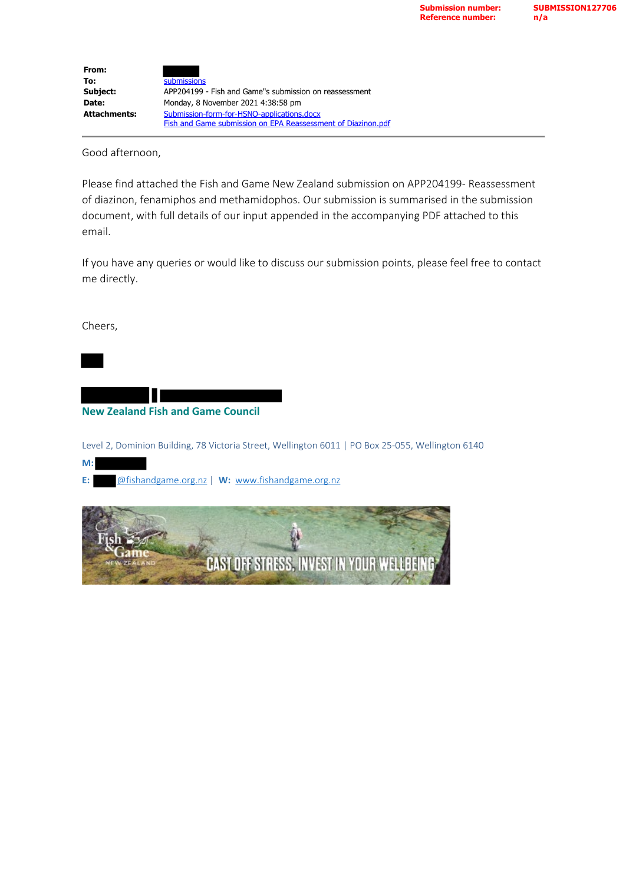| From:               |                                                              |
|---------------------|--------------------------------------------------------------|
| To:                 | submissions                                                  |
| Subject:            | APP204199 - Fish and Game"s submission on reassessment       |
| Date:               | Monday, 8 November 2021 4:38:58 pm                           |
| <b>Attachments:</b> | Submission-form-for-HSNO-applications.docx                   |
|                     | Fish and Game submission on EPA Reassessment of Diazinon.pdf |

Good afternoon,

Please find attached the Fish and Game New Zealand submission on APP204199- Reassessment of diazinon, fenamiphos and methamidophos. Our submission is summarised in the submission document, with full details of our input appended in the accompanying PDF attached to this email.

If you have any queries or would like to discuss our submission points, please feel free to contact me directly.

Cheers,

**M:** 

**New Zealand Fish and Game Council**

Level 2, Dominion Building, 78 Victoria Street, Wellington 6011 | PO Box 25-055, Wellington 6140

**E:** @fishandgame.org.nz | **W:** [www.fishandgame.org.nz](http://www.fishandgame.org.nz/)

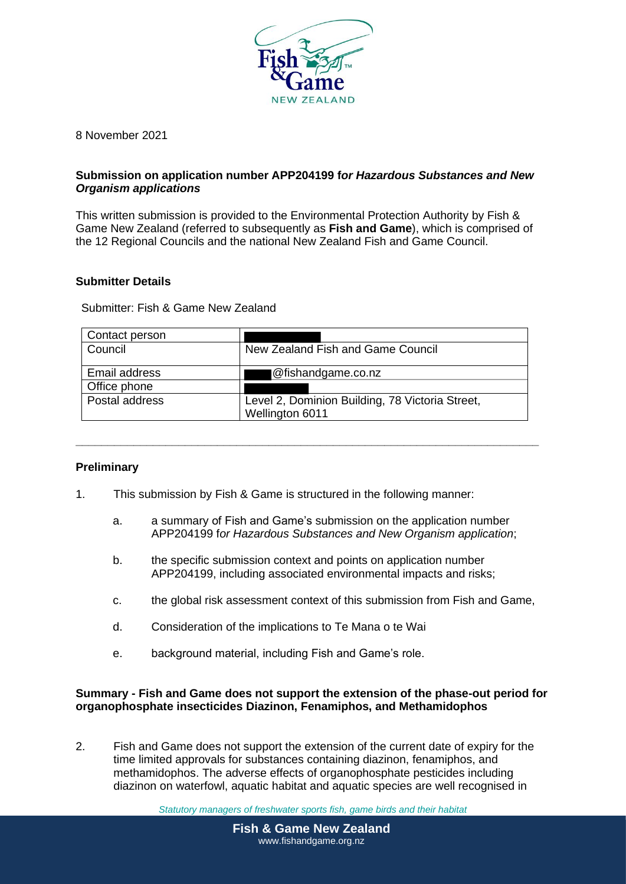

8 November 2021

## **Submission on application number APP204199 f***or Hazardous Substances and New Organism applications*

This written submission is provided to the Environmental Protection Authority by Fish & Game New Zealand (referred to subsequently as **Fish and Game**), which is comprised of the 12 Regional Councils and the national New Zealand Fish and Game Council.

### **Submitter Details**

Submitter: Fish & Game New Zealand

| Contact person |                                                                    |
|----------------|--------------------------------------------------------------------|
| Council        | New Zealand Fish and Game Council                                  |
| Email address  | @fishandgame.co.nz                                                 |
| Office phone   |                                                                    |
| Postal address | Level 2, Dominion Building, 78 Victoria Street,<br>Wellington 6011 |

**\_\_\_\_\_\_\_\_\_\_\_\_\_\_\_\_\_\_\_\_\_\_\_\_\_\_\_\_\_\_\_\_\_\_\_\_\_\_\_\_\_\_\_\_\_\_\_\_\_\_\_\_\_\_\_\_\_\_\_\_\_\_\_\_\_\_\_\_\_\_\_\_**

## **Preliminary**

- 1. This submission by Fish & Game is structured in the following manner:
	- a. a summary of Fish and Game's submission on the application number APP204199 f*or Hazardous Substances and New Organism application*;
	- b. the specific submission context and points on application number APP204199, including associated environmental impacts and risks;
	- c. the global risk assessment context of this submission from Fish and Game,
	- d. Consideration of the implications to Te Mana o te Wai
	- e. background material, including Fish and Game's role.

### **Summary - Fish and Game does not support the extension of the phase-out period for organophosphate insecticides Diazinon, Fenamiphos, and Methamidophos**

2. Fish and Game does not support the extension of the current date of expiry for the time limited approvals for substances containing diazinon, fenamiphos, and methamidophos. The adverse effects of organophosphate pesticides including diazinon on waterfowl, aquatic habitat and aquatic species are well recognised in

*Statutory managers of freshwater sports fish, game birds and their habitat*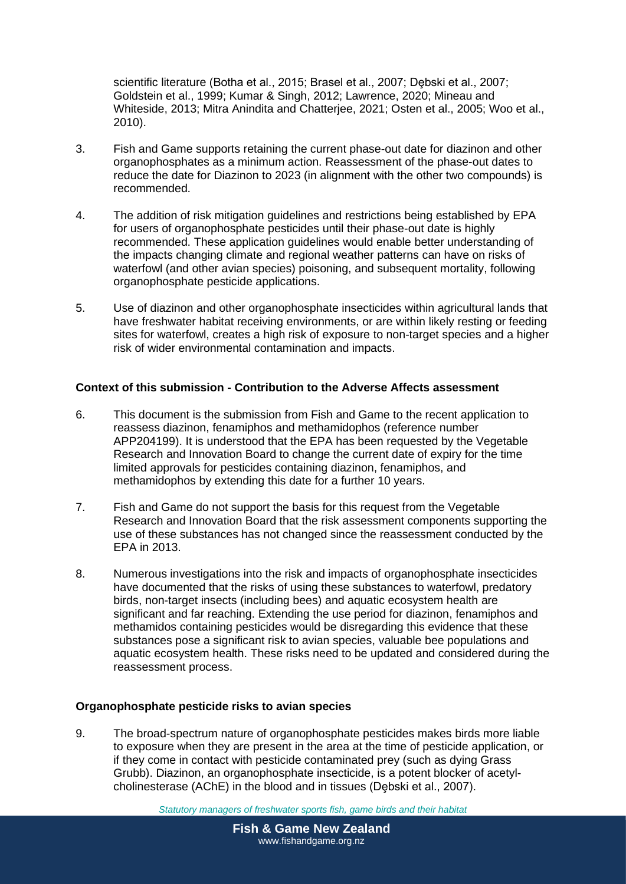scientific literature (Botha et al., 2015; Brasel et al., 2007; Dębski et al., 2007; Goldstein et al., 1999; Kumar & Singh, 2012; Lawrence, 2020; Mineau and Whiteside, 2013; Mitra Anindita and Chatterjee, 2021; Osten et al., 2005; Woo et al., 2010).

- 3. Fish and Game supports retaining the current phase-out date for diazinon and other organophosphates as a minimum action. Reassessment of the phase-out dates to reduce the date for Diazinon to 2023 (in alignment with the other two compounds) is recommended.
- 4. The addition of risk mitigation guidelines and restrictions being established by EPA for users of organophosphate pesticides until their phase-out date is highly recommended. These application guidelines would enable better understanding of the impacts changing climate and regional weather patterns can have on risks of waterfowl (and other avian species) poisoning, and subsequent mortality, following organophosphate pesticide applications.
- 5. Use of diazinon and other organophosphate insecticides within agricultural lands that have freshwater habitat receiving environments, or are within likely resting or feeding sites for waterfowl, creates a high risk of exposure to non-target species and a higher risk of wider environmental contamination and impacts.

# **Context of this submission - Contribution to the Adverse Affects assessment**

- 6. This document is the submission from Fish and Game to the recent application to reassess diazinon, fenamiphos and methamidophos (reference number APP204199). It is understood that the EPA has been requested by the Vegetable Research and Innovation Board to change the current date of expiry for the time limited approvals for pesticides containing diazinon, fenamiphos, and methamidophos by extending this date for a further 10 years.
- 7. Fish and Game do not support the basis for this request from the Vegetable Research and Innovation Board that the risk assessment components supporting the use of these substances has not changed since the reassessment conducted by the EPA in 2013.
- 8. Numerous investigations into the risk and impacts of organophosphate insecticides have documented that the risks of using these substances to waterfowl, predatory birds, non-target insects (including bees) and aquatic ecosystem health are significant and far reaching. Extending the use period for diazinon, fenamiphos and methamidos containing pesticides would be disregarding this evidence that these substances pose a significant risk to avian species, valuable bee populations and aquatic ecosystem health. These risks need to be updated and considered during the reassessment process.

## **Organophosphate pesticide risks to avian species**

9. The broad-spectrum nature of organophosphate pesticides makes birds more liable to exposure when they are present in the area at the time of pesticide application, or if they come in contact with pesticide contaminated prey (such as dying Grass Grubb). Diazinon, an organophosphate insecticide, is a potent blocker of acetylcholinesterase (AChE) in the blood and in tissues (Debski et al., 2007).

*Statutory managers of freshwater sports fish, game birds and their habitat*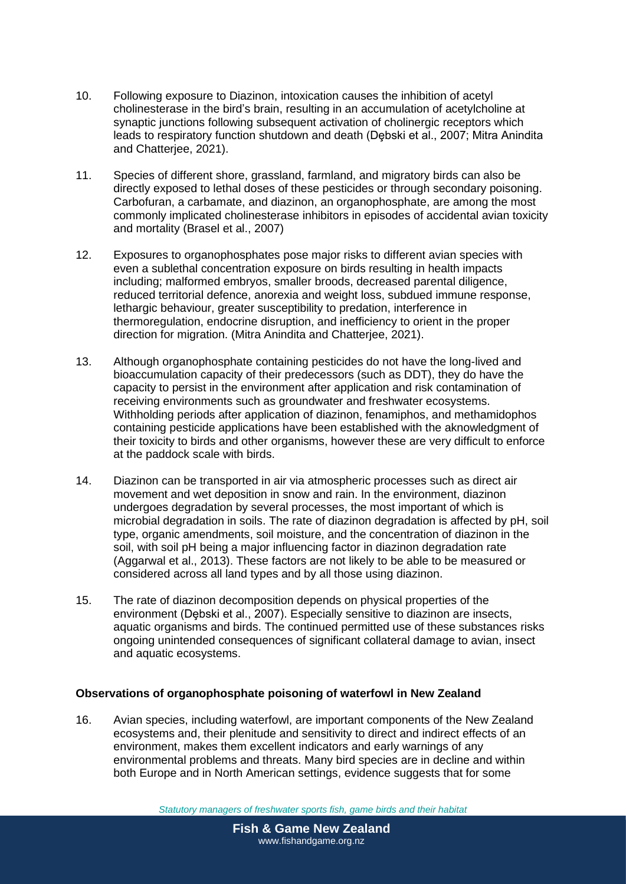- 10. Following exposure to Diazinon, intoxication causes the inhibition of acetyl cholinesterase in the bird's brain, resulting in an accumulation of acetylcholine at synaptic junctions following subsequent activation of cholinergic receptors which leads to respiratory function shutdown and death (Debski et al., 2007; Mitra Anindita and Chatterjee, 2021).
- 11. Species of different shore, grassland, farmland, and migratory birds can also be directly exposed to lethal doses of these pesticides or through secondary poisoning. Carbofuran, a carbamate, and diazinon, an organophosphate, are among the most commonly implicated cholinesterase inhibitors in episodes of accidental avian toxicity and mortality (Brasel et al., 2007)
- 12. Exposures to organophosphates pose major risks to different avian species with even a sublethal concentration exposure on birds resulting in health impacts including; malformed embryos, smaller broods, decreased parental diligence, reduced territorial defence, anorexia and weight loss, subdued immune response, lethargic behaviour, greater susceptibility to predation, interference in thermoregulation, endocrine disruption, and inefficiency to orient in the proper direction for migration. (Mitra Anindita and Chatterjee, 2021).
- 13. Although organophosphate containing pesticides do not have the long-lived and bioaccumulation capacity of their predecessors (such as DDT), they do have the capacity to persist in the environment after application and risk contamination of receiving environments such as groundwater and freshwater ecosystems. Withholding periods after application of diazinon, fenamiphos, and methamidophos containing pesticide applications have been established with the aknowledgment of their toxicity to birds and other organisms, however these are very difficult to enforce at the paddock scale with birds.
- 14. Diazinon can be transported in air via atmospheric processes such as direct air movement and wet deposition in snow and rain. In the environment, diazinon undergoes degradation by several processes, the most important of which is microbial degradation in soils. The rate of diazinon degradation is affected by pH, soil type, organic amendments, soil moisture, and the concentration of diazinon in the soil, with soil pH being a major influencing factor in diazinon degradation rate (Aggarwal et al., 2013). These factors are not likely to be able to be measured or considered across all land types and by all those using diazinon.
- 15. The rate of diazinon decomposition depends on physical properties of the environment (Dębski et al., 2007). Especially sensitive to diazinon are insects, aquatic organisms and birds. The continued permitted use of these substances risks ongoing unintended consequences of significant collateral damage to avian, insect and aquatic ecosystems.

## **Observations of organophosphate poisoning of waterfowl in New Zealand**

16. Avian species, including waterfowl, are important components of the New Zealand ecosystems and, their plenitude and sensitivity to direct and indirect effects of an environment, makes them excellent indicators and early warnings of any environmental problems and threats. Many bird species are in decline and within both Europe and in North American settings, evidence suggests that for some

*Statutory managers of freshwater sports fish, game birds and their habitat*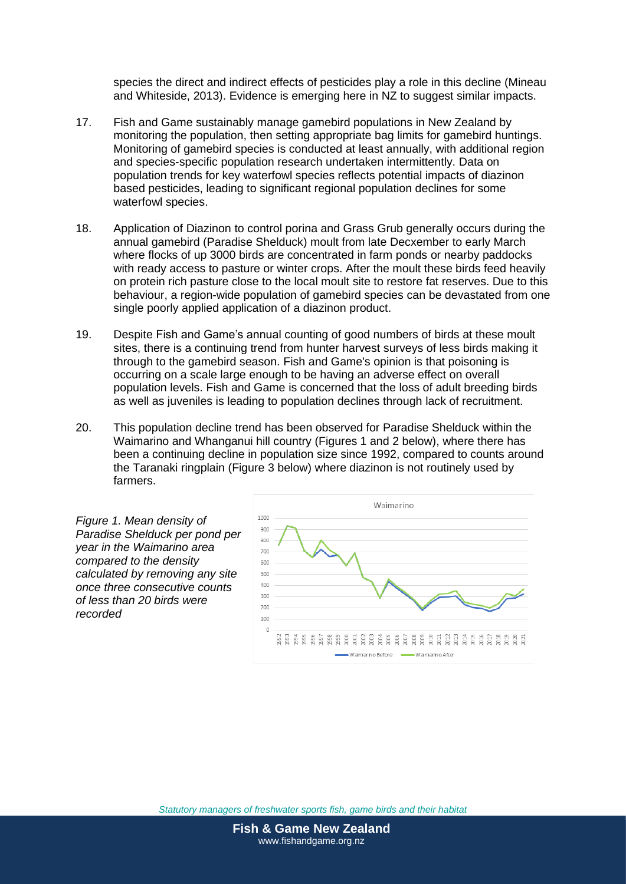species the direct and indirect effects of pesticides play a role in this decline (Mineau and Whiteside, 2013). Evidence is emerging here in NZ to suggest similar impacts.

- 17. Fish and Game sustainably manage gamebird populations in New Zealand by monitoring the population, then setting appropriate bag limits for gamebird huntings. Monitoring of gamebird species is conducted at least annually, with additional region and species-specific population research undertaken intermittently. Data on population trends for key waterfowl species reflects potential impacts of diazinon based pesticides, leading to significant regional population declines for some waterfowl species.
- 18. Application of Diazinon to control porina and Grass Grub generally occurs during the annual gamebird (Paradise Shelduck) moult from late Decxember to early March where flocks of up 3000 birds are concentrated in farm ponds or nearby paddocks with ready access to pasture or winter crops. After the moult these birds feed heavily on protein rich pasture close to the local moult site to restore fat reserves. Due to this behaviour, a region-wide population of gamebird species can be devastated from one single poorly applied application of a diazinon product.
- 19. Despite Fish and Game's annual counting of good numbers of birds at these moult sites, there is a continuing trend from hunter harvest surveys of less birds making it through to the gamebird season. Fish and Game's opinion is that poisoning is occurring on a scale large enough to be having an adverse effect on overall population levels. Fish and Game is concerned that the loss of adult breeding birds as well as juveniles is leading to population declines through lack of recruitment.
- 20. This population decline trend has been observed for Paradise Shelduck within the Waimarino and Whanganui hill country (Figures 1 and 2 below), where there has been a continuing decline in population size since 1992, compared to counts around the Taranaki ringplain (Figure 3 below) where diazinon is not routinely used by farmers.

*Figure 1. Mean density of Paradise Shelduck per pond per year in the Waimarino area compared to the density calculated by removing any site once three consecutive counts of less than 20 birds were recorded*

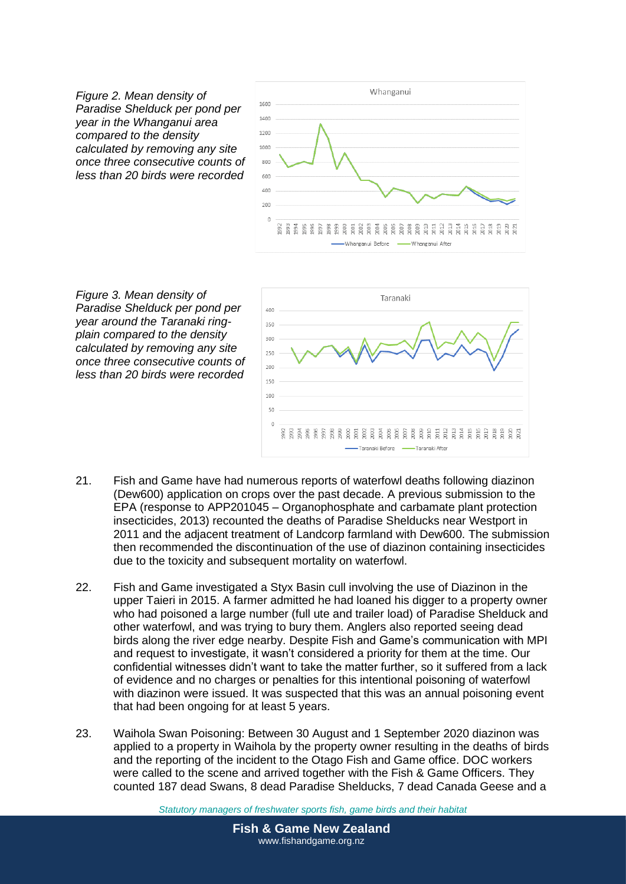*Figure 2. Mean density of Paradise Shelduck per pond per year in the Whanganui area compared to the density calculated by removing any site once three consecutive counts of less than 20 birds were recorded*



*Figure 3. Mean density of Paradise Shelduck per pond per year around the Taranaki ringplain compared to the density calculated by removing any site once three consecutive counts of less than 20 birds were recorded*



- 21. Fish and Game have had numerous reports of waterfowl deaths following diazinon (Dew600) application on crops over the past decade. A previous submission to the EPA (response to APP201045 – Organophosphate and carbamate plant protection insecticides, 2013) recounted the deaths of Paradise Shelducks near Westport in 2011 and the adjacent treatment of Landcorp farmland with Dew600. The submission then recommended the discontinuation of the use of diazinon containing insecticides due to the toxicity and subsequent mortality on waterfowl.
- 22. Fish and Game investigated a Styx Basin cull involving the use of Diazinon in the upper Taieri in 2015. A farmer admitted he had loaned his digger to a property owner who had poisoned a large number (full ute and trailer load) of Paradise Shelduck and other waterfowl, and was trying to bury them. Anglers also reported seeing dead birds along the river edge nearby. Despite Fish and Game's communication with MPI and request to investigate, it wasn't considered a priority for them at the time. Our confidential witnesses didn't want to take the matter further, so it suffered from a lack of evidence and no charges or penalties for this intentional poisoning of waterfowl with diazinon were issued. It was suspected that this was an annual poisoning event that had been ongoing for at least 5 years.
- 23. Waihola Swan Poisoning: Between 30 August and 1 September 2020 diazinon was applied to a property in Waihola by the property owner resulting in the deaths of birds and the reporting of the incident to the Otago Fish and Game office. DOC workers were called to the scene and arrived together with the Fish & Game Officers. They counted 187 dead Swans, 8 dead Paradise Shelducks, 7 dead Canada Geese and a

*Statutory managers of freshwater sports fish, game birds and their habitat*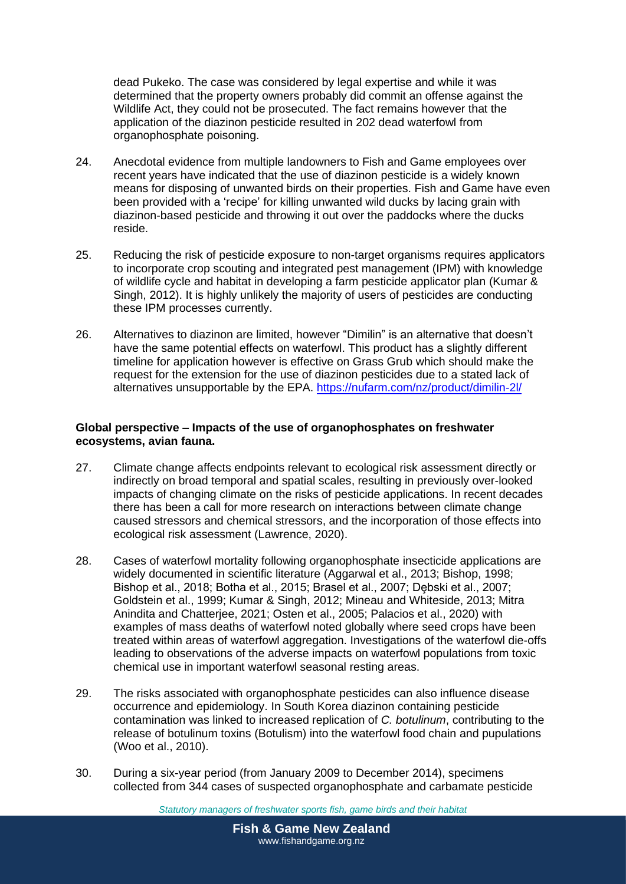dead Pukeko. The case was considered by legal expertise and while it was determined that the property owners probably did commit an offense against the Wildlife Act, they could not be prosecuted. The fact remains however that the application of the diazinon pesticide resulted in 202 dead waterfowl from organophosphate poisoning.

- 24. Anecdotal evidence from multiple landowners to Fish and Game employees over recent years have indicated that the use of diazinon pesticide is a widely known means for disposing of unwanted birds on their properties. Fish and Game have even been provided with a 'recipe' for killing unwanted wild ducks by lacing grain with diazinon-based pesticide and throwing it out over the paddocks where the ducks reside.
- 25. Reducing the risk of pesticide exposure to non-target organisms requires applicators to incorporate crop scouting and integrated pest management (IPM) with knowledge of wildlife cycle and habitat in developing a farm pesticide applicator plan (Kumar & Singh, 2012). It is highly unlikely the majority of users of pesticides are conducting these IPM processes currently.
- 26. Alternatives to diazinon are limited, however "Dimilin" is an alternative that doesn't have the same potential effects on waterfowl. This product has a slightly different timeline for application however is effective on Grass Grub which should make the request for the extension for the use of diazinon pesticides due to a stated lack of alternatives unsupportable by the EPA.<https://nufarm.com/nz/product/dimilin-2l/>

### **Global perspective – Impacts of the use of organophosphates on freshwater ecosystems, avian fauna.**

- 27. Climate change affects endpoints relevant to ecological risk assessment directly or indirectly on broad temporal and spatial scales, resulting in previously over-looked impacts of changing climate on the risks of pesticide applications. In recent decades there has been a call for more research on interactions between climate change caused stressors and chemical stressors, and the incorporation of those effects into ecological risk assessment (Lawrence, 2020).
- 28. Cases of waterfowl mortality following organophosphate insecticide applications are widely documented in scientific literature (Aggarwal et al., 2013; Bishop, 1998; Bishop et al., 2018; Botha et al., 2015; Brasel et al., 2007; Dębski et al., 2007; Goldstein et al., 1999; Kumar & Singh, 2012; Mineau and Whiteside, 2013; Mitra Anindita and Chatterjee, 2021; Osten et al., 2005; Palacios et al., 2020) with examples of mass deaths of waterfowl noted globally where seed crops have been treated within areas of waterfowl aggregation. Investigations of the waterfowl die-offs leading to observations of the adverse impacts on waterfowl populations from toxic chemical use in important waterfowl seasonal resting areas.
- 29. The risks associated with organophosphate pesticides can also influence disease occurrence and epidemiology. In South Korea diazinon containing pesticide contamination was linked to increased replication of *C. botulinum*, contributing to the release of botulinum toxins (Botulism) into the waterfowl food chain and pupulations (Woo et al., 2010).
- 30. During a six-year period (from January 2009 to December 2014), specimens collected from 344 cases of suspected organophosphate and carbamate pesticide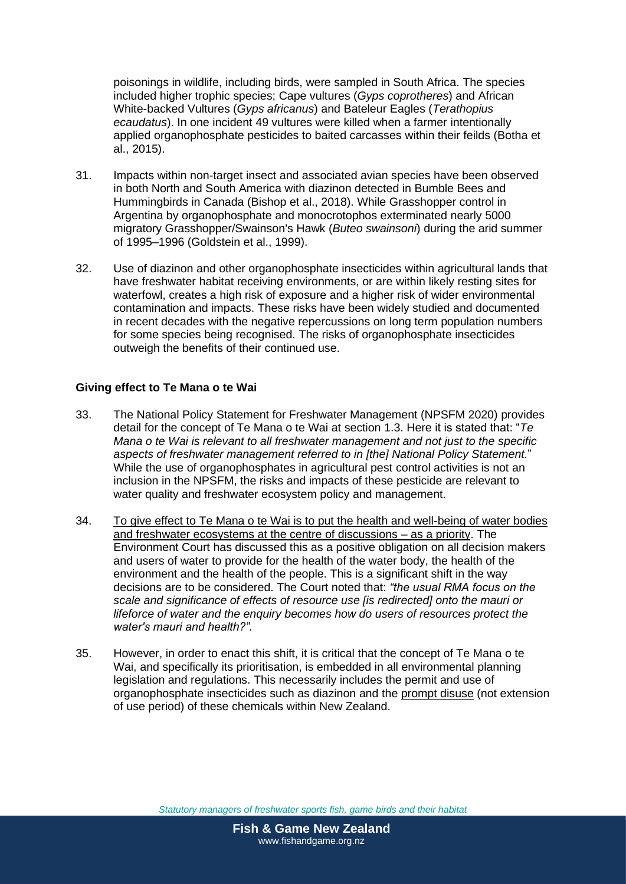poisonings in wildlife, including birds, were sampled in South Africa. The species included higher trophic species; Cape vultures (*Gyps coprotheres*) and African White-backed Vultures (*Gyps africanus*) and Bateleur Eagles (*Terathopius ecaudatus*). In one incident 49 vultures were killed when a farmer intentionally applied organophosphate pesticides to baited carcasses within their feilds (Botha et al., 2015).

- 31. Impacts within non-target insect and associated avian species have been observed in both North and South America with diazinon detected in Bumble Bees and Hummingbirds in Canada (Bishop et al., 2018). While Grasshopper control in Argentina by organophosphate and monocrotophos exterminated nearly 5000 migratory Grasshopper/Swainson's Hawk (*Buteo swainsoni*) during the arid summer of 1995–1996 (Goldstein et al., 1999).
- 32. Use of diazinon and other organophosphate insecticides within agricultural lands that have freshwater habitat receiving environments, or are within likely resting sites for waterfowl, creates a high risk of exposure and a higher risk of wider environmental contamination and impacts. These risks have been widely studied and documented in recent decades with the negative repercussions on long term population numbers for some species being recognised. The risks of organophosphate insecticides outweigh the benefits of their continued use.

### **Giving effect to Te Mana o te Wai**

- 33. The National Policy Statement for Freshwater Management (NPSFM 2020) provides detail for the concept of Te Mana o te Wai at section 1.3. Here it is stated that: "*Te Mana o te Wai is relevant to all freshwater management and not just to the specific aspects of freshwater management referred to in [the] National Policy Statement.*" While the use of organophosphates in agricultural pest control activities is not an inclusion in the NPSFM, the risks and impacts of these pesticide are relevant to water quality and freshwater ecosystem policy and management.
- 34. To give effect to Te Mana o te Wai is to put the health and well-being of water bodies and freshwater ecosystems at the centre of discussions – as a priority. The Environment Court has discussed this as a positive obligation on all decision makers and users of water to provide for the health of the water body, the health of the environment and the health of the people. This is a significant shift in the way decisions are to be considered. The Court noted that: *"the usual RMA focus on the scale and significance of effects of resource use [is redirected] onto the mauri or lifeforce of water and the enquiry becomes how do users of resources protect the water's mauri and health?".*
- 35. However, in order to enact this shift, it is critical that the concept of Te Mana o te Wai, and specifically its prioritisation, is embedded in all environmental planning legislation and regulations. This necessarily includes the permit and use of organophosphate insecticides such as diazinon and the prompt disuse (not extension of use period) of these chemicals within New Zealand.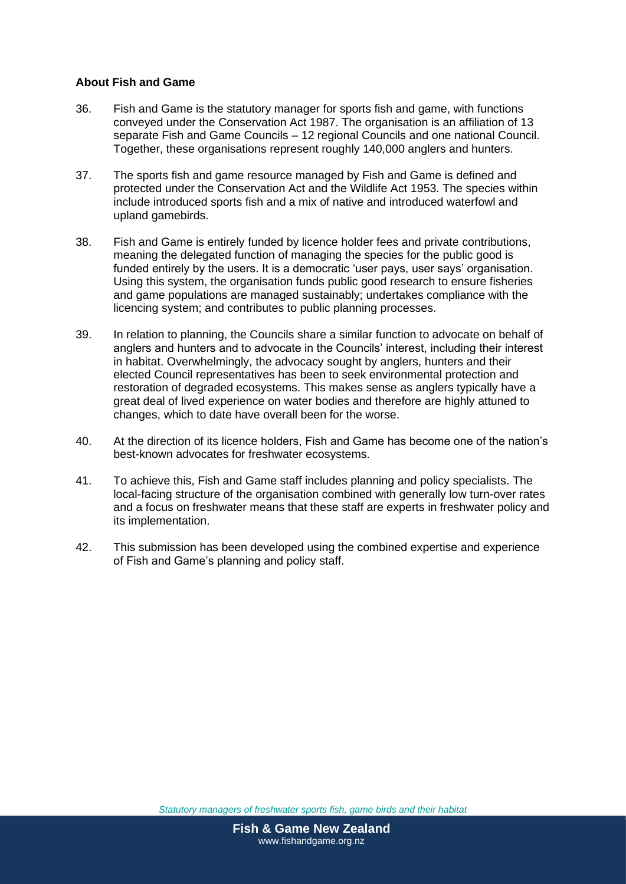#### **About Fish and Game**

- 36. Fish and Game is the statutory manager for sports fish and game, with functions conveyed under the Conservation Act 1987. The organisation is an affiliation of 13 separate Fish and Game Councils – 12 regional Councils and one national Council. Together, these organisations represent roughly 140,000 anglers and hunters.
- 37. The sports fish and game resource managed by Fish and Game is defined and protected under the Conservation Act and the Wildlife Act 1953. The species within include introduced sports fish and a mix of native and introduced waterfowl and upland gamebirds.
- 38. Fish and Game is entirely funded by licence holder fees and private contributions, meaning the delegated function of managing the species for the public good is funded entirely by the users. It is a democratic 'user pays, user says' organisation. Using this system, the organisation funds public good research to ensure fisheries and game populations are managed sustainably; undertakes compliance with the licencing system; and contributes to public planning processes.
- 39. In relation to planning, the Councils share a similar function to advocate on behalf of anglers and hunters and to advocate in the Councils' interest, including their interest in habitat. Overwhelmingly, the advocacy sought by anglers, hunters and their elected Council representatives has been to seek environmental protection and restoration of degraded ecosystems. This makes sense as anglers typically have a great deal of lived experience on water bodies and therefore are highly attuned to changes, which to date have overall been for the worse.
- 40. At the direction of its licence holders, Fish and Game has become one of the nation's best-known advocates for freshwater ecosystems.
- 41. To achieve this, Fish and Game staff includes planning and policy specialists. The local-facing structure of the organisation combined with generally low turn-over rates and a focus on freshwater means that these staff are experts in freshwater policy and its implementation.
- 42. This submission has been developed using the combined expertise and experience of Fish and Game's planning and policy staff.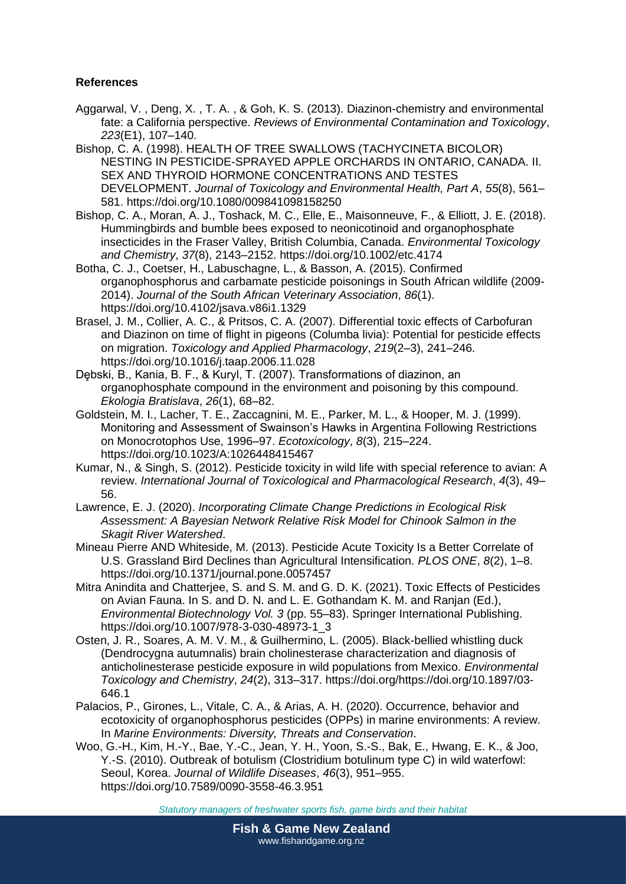# **References**

- Aggarwal, V. , Deng, X. , T. A. , & Goh, K. S. (2013). Diazinon-chemistry and environmental fate: a California perspective. *Reviews of Environmental Contamination and Toxicology*, *223*(E1), 107–140.
- Bishop, C. A. (1998). HEALTH OF TREE SWALLOWS (TACHYCINETA BICOLOR) NESTING IN PESTICIDE-SPRAYED APPLE ORCHARDS IN ONTARIO, CANADA. II. SEX AND THYROID HORMONE CONCENTRATIONS AND TESTES DEVELOPMENT. *Journal of Toxicology and Environmental Health, Part A*, *55*(8), 561– 581. https://doi.org/10.1080/009841098158250
- Bishop, C. A., Moran, A. J., Toshack, M. C., Elle, E., Maisonneuve, F., & Elliott, J. E. (2018). Hummingbirds and bumble bees exposed to neonicotinoid and organophosphate insecticides in the Fraser Valley, British Columbia, Canada. *Environmental Toxicology and Chemistry*, *37*(8), 2143–2152. https://doi.org/10.1002/etc.4174
- Botha, C. J., Coetser, H., Labuschagne, L., & Basson, A. (2015). Confirmed organophosphorus and carbamate pesticide poisonings in South African wildlife (2009- 2014). *Journal of the South African Veterinary Association*, *86*(1). https://doi.org/10.4102/jsava.v86i1.1329
- Brasel, J. M., Collier, A. C., & Pritsos, C. A. (2007). Differential toxic effects of Carbofuran and Diazinon on time of flight in pigeons (Columba livia): Potential for pesticide effects on migration. *Toxicology and Applied Pharmacology*, *219*(2–3), 241–246. https://doi.org/10.1016/j.taap.2006.11.028
- Dębski, B., Kania, B. F., & Kuryl, T. (2007). Transformations of diazinon, an organophosphate compound in the environment and poisoning by this compound. *Ekologia Bratislava*, *26*(1), 68–82.
- Goldstein, M. I., Lacher, T. E., Zaccagnini, M. E., Parker, M. L., & Hooper, M. J. (1999). Monitoring and Assessment of Swainson's Hawks in Argentina Following Restrictions on Monocrotophos Use, 1996–97. *Ecotoxicology*, *8*(3), 215–224. https://doi.org/10.1023/A:1026448415467
- Kumar, N., & Singh, S. (2012). Pesticide toxicity in wild life with special reference to avian: A review. *International Journal of Toxicological and Pharmacological Research*, *4*(3), 49– 56.
- Lawrence, E. J. (2020). *Incorporating Climate Change Predictions in Ecological Risk Assessment: A Bayesian Network Relative Risk Model for Chinook Salmon in the Skagit River Watershed*.
- Mineau Pierre AND Whiteside, M. (2013). Pesticide Acute Toxicity Is a Better Correlate of U.S. Grassland Bird Declines than Agricultural Intensification. *PLOS ONE*, *8*(2), 1–8. https://doi.org/10.1371/journal.pone.0057457
- Mitra Anindita and Chatterjee, S. and S. M. and G. D. K. (2021). Toxic Effects of Pesticides on Avian Fauna. In S. and D. N. and L. E. Gothandam K. M. and Ranjan (Ed.), *Environmental Biotechnology Vol. 3* (pp. 55–83). Springer International Publishing. https://doi.org/10.1007/978-3-030-48973-1\_3
- Osten, J. R., Soares, A. M. V. M., & Guilhermino, L. (2005). Black-bellied whistling duck (Dendrocygna autumnalis) brain cholinesterase characterization and diagnosis of anticholinesterase pesticide exposure in wild populations from Mexico. *Environmental Toxicology and Chemistry*, *24*(2), 313–317. https://doi.org/https://doi.org/10.1897/03- 646.1
- Palacios, P., Girones, L., Vitale, C. A., & Arias, A. H. (2020). Occurrence, behavior and ecotoxicity of organophosphorus pesticides (OPPs) in marine environments: A review. In *Marine Environments: Diversity, Threats and Conservation*.
- Woo, G.-H., Kim, H.-Y., Bae, Y.-C., Jean, Y. H., Yoon, S.-S., Bak, E., Hwang, E. K., & Joo, Y.-S. (2010). Outbreak of botulism (Clostridium botulinum type C) in wild waterfowl: Seoul, Korea. *Journal of Wildlife Diseases*, *46*(3), 951–955. https://doi.org/10.7589/0090-3558-46.3.951